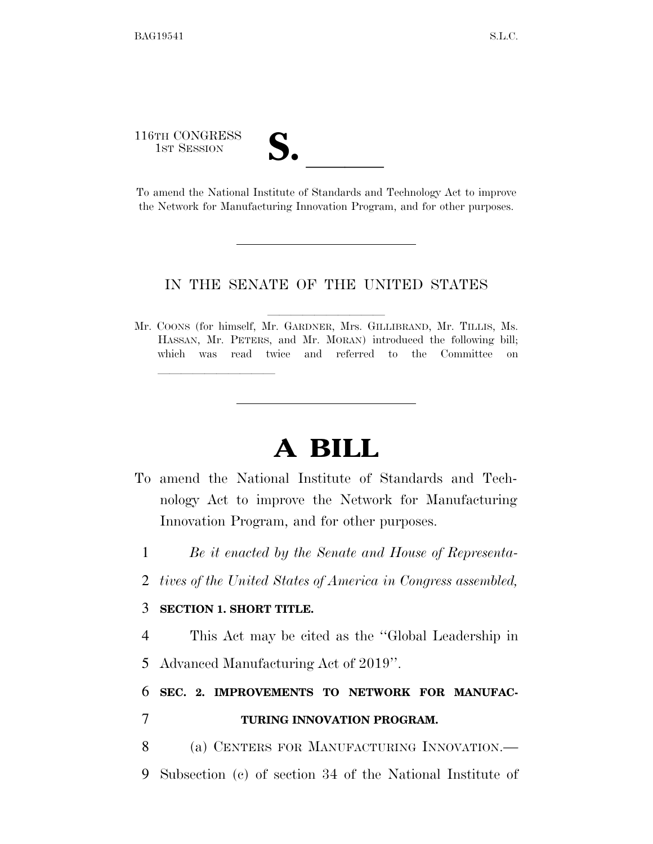116TH CONGRESS

116TH CONGRESS<br>
1ST SESSION<br>
To amend the National Institute of Standards and Technology Act to improve the Network for Manufacturing Innovation Program, and for other purposes.

## IN THE SENATE OF THE UNITED STATES

Mr. COONS (for himself, Mr. GARDNER, Mrs. GILLIBRAND, Mr. TILLIS, Ms. HASSAN, Mr. PETERS, and Mr. MORAN) introduced the following bill; which was read twice and referred to the Committee on

## **A BILL**

- To amend the National Institute of Standards and Technology Act to improve the Network for Manufacturing Innovation Program, and for other purposes.
	- 1 *Be it enacted by the Senate and House of Representa-*
- 2 *tives of the United States of America in Congress assembled,*

## 3 **SECTION 1. SHORT TITLE.**

lle and a second control of the second control of the second control of the second control of the second control of the second control of the second control of the second control of the second control of the second control

4 This Act may be cited as the ''Global Leadership in 5 Advanced Manufacturing Act of 2019''.

## 6 **SEC. 2. IMPROVEMENTS TO NETWORK FOR MANUFAC-**7 **TURING INNOVATION PROGRAM.**

- 8 (a) CENTERS FOR MANUFACTURING INNOVATION.—
- 9 Subsection (c) of section 34 of the National Institute of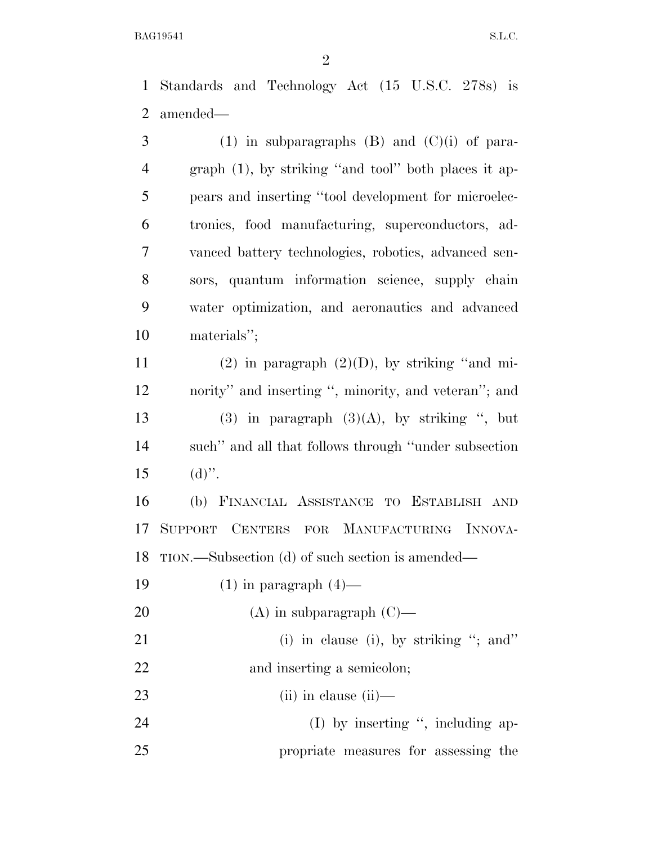Standards and Technology Act (15 U.S.C. 278s) is amended—

3 (1) in subparagraphs  $(B)$  and  $(C)(i)$  of para- graph (1), by striking ''and tool'' both places it ap- pears and inserting ''tool development for microelec- tronics, food manufacturing, superconductors, ad- vanced battery technologies, robotics, advanced sen- sors, quantum information science, supply chain water optimization, and aeronautics and advanced materials''; 11 (2) in paragraph  $(2)(D)$ , by striking "and mi- nority'' and inserting '', minority, and veteran''; and 13 (3) in paragraph  $(3)(A)$ , by striking ", but such'' and all that follows through ''under subsection 15 (d)". (b) FINANCIAL ASSISTANCE TO ESTABLISH AND SUPPORT CENTERS FOR MANUFACTURING INNOVA- TION.—Subsection (d) of such section is amended— (1) in paragraph (4)— (A) in subparagraph (C)— 21 (i) in clause (i), by striking "; and" 22 and inserting a semicolon; (ii) in clause (ii)— 24 (I) by inserting ", including ap-propriate measures for assessing the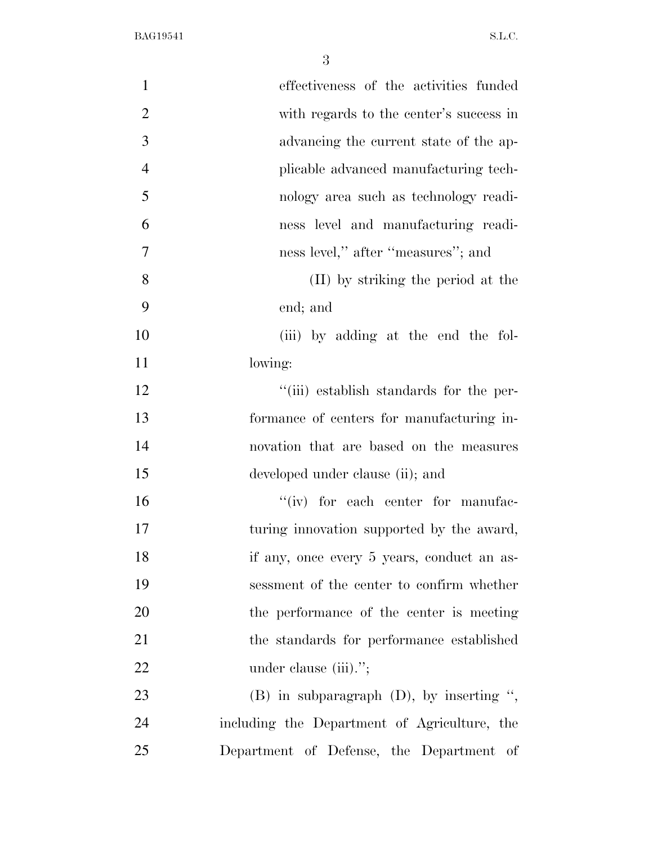| $\mathbf{1}$   | effectiveness of the activities funded        |
|----------------|-----------------------------------------------|
| $\overline{2}$ | with regards to the center's success in       |
| 3              | advancing the current state of the ap-        |
| $\overline{4}$ | plicable advanced manufacturing tech-         |
| 5              | nology area such as technology readi-         |
| 6              | ness level and manufacturing readi-           |
| 7              | ness level," after "measures"; and            |
| 8              | (II) by striking the period at the            |
| 9              | end; and                                      |
| 10             | (iii) by adding at the end the fol-           |
| 11             | lowing:                                       |
| 12             | "(iii) establish standards for the per-       |
| 13             | formance of centers for manufacturing in-     |
| 14             | novation that are based on the measures       |
| 15             | developed under clause (ii); and              |
| 16             | "(iv) for each center for manufac-            |
| 17             | turing innovation supported by the award,     |
| 18             | if any, once every 5 years, conduct an as-    |
| 19             | sessment of the center to confirm whether     |
| 20             | the performance of the center is meeting      |
| 21             | the standards for performance established     |
| 22             | under clause (iii).";                         |
| 23             | $(B)$ in subparagraph $(D)$ , by inserting ", |
| 24             | including the Department of Agriculture, the  |
| 25             | Department of Defense, the Department of      |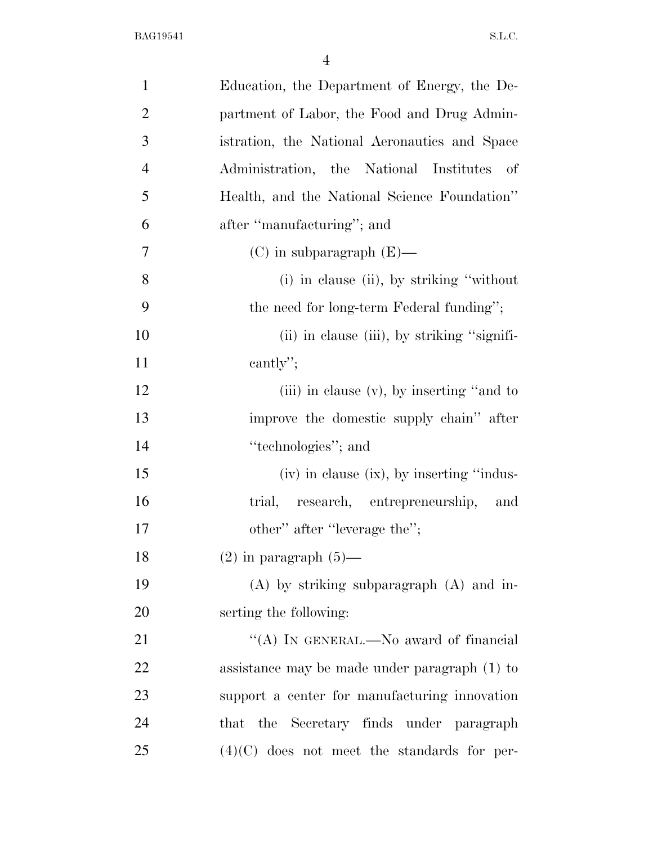| $\mathbf{1}$   | Education, the Department of Energy, the De-  |
|----------------|-----------------------------------------------|
| $\overline{2}$ | partment of Labor, the Food and Drug Admin-   |
| 3              | istration, the National Aeronautics and Space |
| $\overline{4}$ | Administration, the National Institutes of    |
| 5              | Health, and the National Science Foundation"  |
| 6              | after "manufacturing"; and                    |
| 7              | $(C)$ in subparagraph $(E)$ —                 |
| 8              | (i) in clause (ii), by striking "without"     |
| 9              | the need for long-term Federal funding";      |
| 10             | (ii) in clause (iii), by striking "signifi-   |
| 11             | cantly";                                      |
| 12             | (iii) in clause $(v)$ , by inserting "and to  |
| 13             | improve the domestic supply chain" after      |
| 14             | "technologies"; and                           |
| 15             | (iv) in clause (ix), by inserting "indus-     |
| 16             | trial, research, entrepreneurship, and        |
| 17             | other" after "leverage the";                  |
| 18             | $(2)$ in paragraph $(5)$ —                    |
| 19             | $(A)$ by striking subparagraph $(A)$ and in-  |
| 20             | serting the following:                        |
| 21             | "(A) IN GENERAL.—No award of financial        |
| 22             | assistance may be made under paragraph (1) to |
| 23             | support a center for manufacturing innovation |
| 24             | that the Secretary finds under paragraph      |
| 25             | $(4)(C)$ does not meet the standards for per- |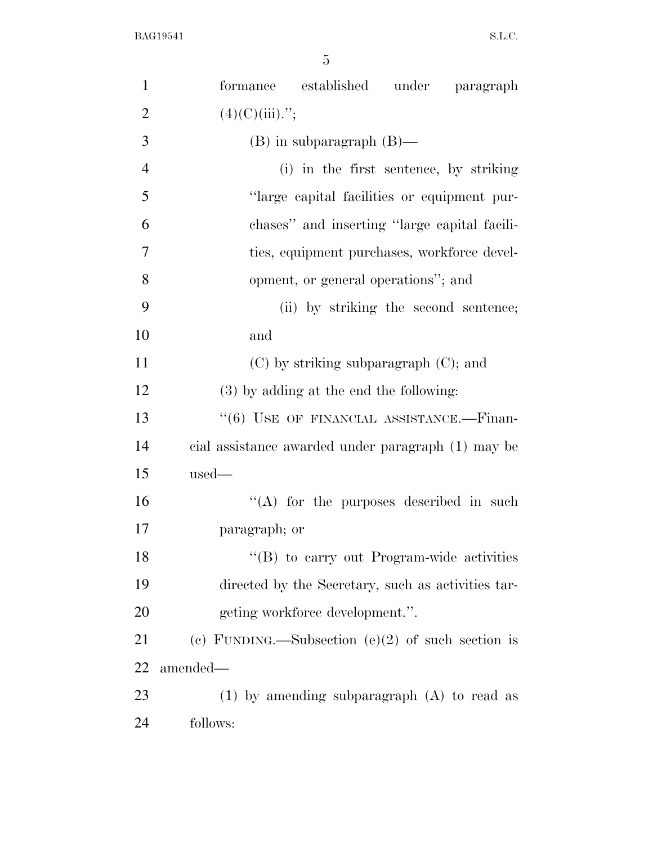| $\mathbf{1}$   | formance established under paragraph                 |
|----------------|------------------------------------------------------|
| $\overline{2}$ | $(4)(C)(iii)$ .";                                    |
| 3              | $(B)$ in subparagraph $(B)$ —                        |
| $\overline{4}$ | (i) in the first sentence, by striking               |
| 5              | "large capital facilities or equipment pur-          |
| 6              | chases" and inserting "large capital facili-         |
| 7              | ties, equipment purchases, workforce devel-          |
| 8              | opment, or general operations"; and                  |
| 9              | (ii) by striking the second sentence;                |
| 10             | and                                                  |
| 11             | $(C)$ by striking subparagraph $(C)$ ; and           |
| 12             | (3) by adding at the end the following:              |
| 13             | "(6) USE OF FINANCIAL ASSISTANCE.-Finan-             |
| 14             | cial assistance awarded under paragraph (1) may be   |
| 15             | $used-$                                              |
| 16             | $\lq\lq$ for the purposes described in such          |
| 17             | paragraph; or                                        |
| 18             | "(B) to carry out Program-wide activities            |
| 19             | directed by the Secretary, such as activities tar-   |
| 20             | geting workforce development.".                      |
| 21             | (c) FUNDING.—Subsection (e) $(2)$ of such section is |
| 22             | amended—                                             |
| 23             | $(1)$ by amending subparagraph $(A)$ to read as      |
| 24             | follows:                                             |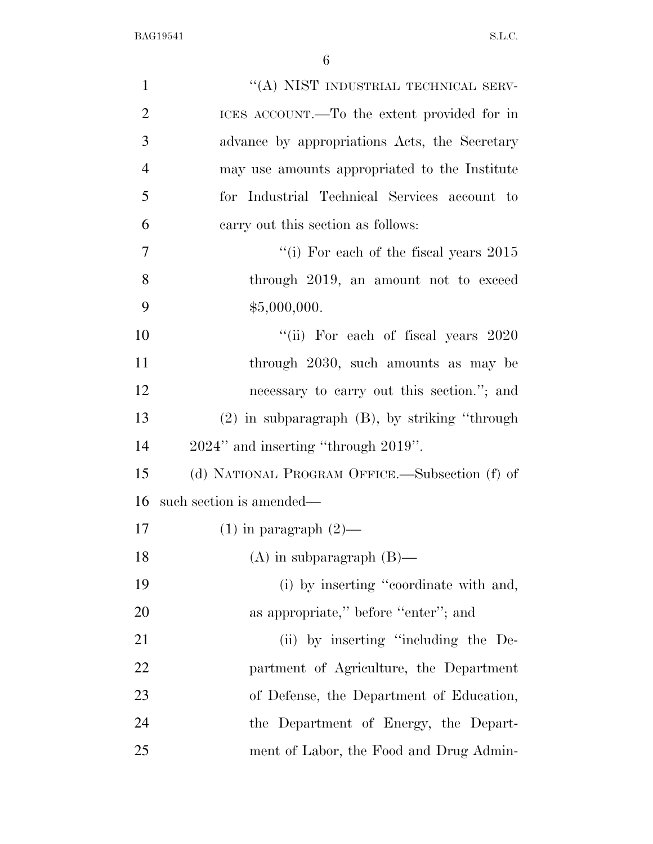| $\mathbf{1}$   | "(A) NIST INDUSTRIAL TECHNICAL SERV-               |
|----------------|----------------------------------------------------|
| $\overline{2}$ | ICES ACCOUNT.—To the extent provided for in        |
| 3              | advance by appropriations Acts, the Secretary      |
| $\overline{4}$ | may use amounts appropriated to the Institute      |
| 5              | for Industrial Technical Services account to       |
| 6              | carry out this section as follows:                 |
| 7              | "(i) For each of the fiscal years $2015$           |
| 8              | through 2019, an amount not to exceed              |
| 9              | \$5,000,000.                                       |
| 10             | "(ii) For each of fiscal years 2020                |
| 11             | through 2030, such amounts as may be               |
| 12             | necessary to carry out this section."; and         |
| 13             | $(2)$ in subparagraph $(B)$ , by striking "through |
| 14             | 2024" and inserting "through 2019".                |
| 15             | (d) NATIONAL PROGRAM OFFICE.—Subsection (f) of     |
| 16             | such section is amended—                           |
| 17             | $(1)$ in paragraph $(2)$ —                         |
| 18             | $(A)$ in subparagraph $(B)$ —                      |
| 19             | (i) by inserting "coordinate with and,             |
| 20             | as appropriate," before "enter"; and               |
| 21             | (ii) by inserting "including the De-               |
| 22             | partment of Agriculture, the Department            |
| 23             | of Defense, the Department of Education,           |
| 24             | the Department of Energy, the Depart-              |
| 25             | ment of Labor, the Food and Drug Admin-            |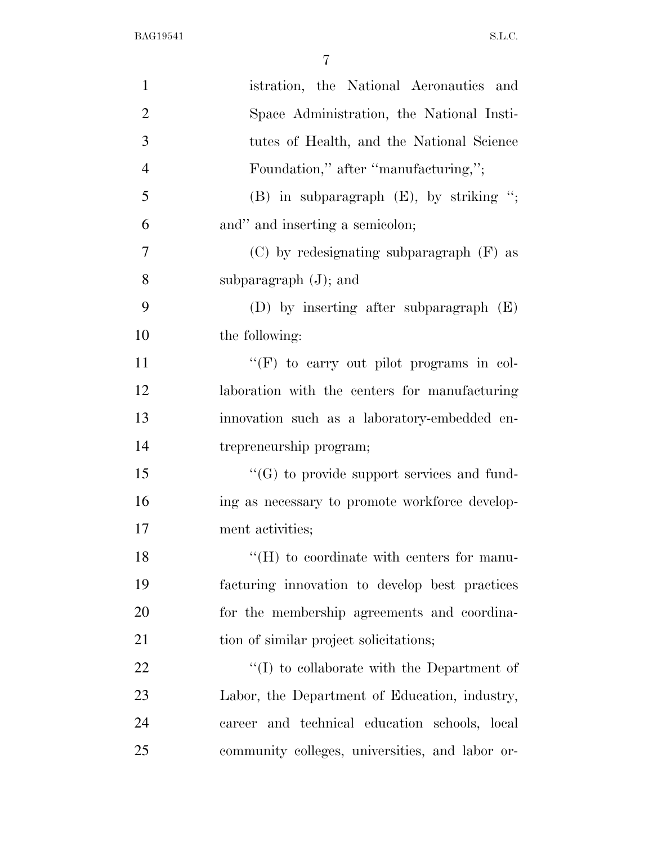| $\mathbf{1}$   | istration, the National Aeronautics and           |
|----------------|---------------------------------------------------|
| $\overline{2}$ | Space Administration, the National Insti-         |
| 3              | tutes of Health, and the National Science         |
| $\overline{4}$ | Foundation," after "manufacturing,";              |
| 5              | $(B)$ in subparagraph $(E)$ , by striking ";      |
| 6              | and" and inserting a semicolon;                   |
| 7              | $(C)$ by redesignating subparagraph $(F)$ as      |
| 8              | subparagraph $(J)$ ; and                          |
| 9              | (D) by inserting after subparagraph $(E)$         |
| 10             | the following:                                    |
| 11             | "(F) to carry out pilot programs in col-          |
| 12             | laboration with the centers for manufacturing     |
| 13             | innovation such as a laboratory-embedded en-      |
| 14             | trepreneurship program;                           |
| 15             | $\lq\lq(G)$ to provide support services and fund- |
| 16             | ing as necessary to promote workforce develop-    |
| 17             | ment activities;                                  |
| 18             | $\rm{``(H)}$ to coordinate with centers for manu- |
| 19             | facturing innovation to develop best practices    |
| 20             | for the membership agreements and coordina-       |
| 21             | tion of similar project solicitations;            |
| 22             | $\lq\lq$ to collaborate with the Department of    |
| 23             | Labor, the Department of Education, industry,     |
| 24             | career and technical education schools, local     |
| 25             | community colleges, universities, and labor or-   |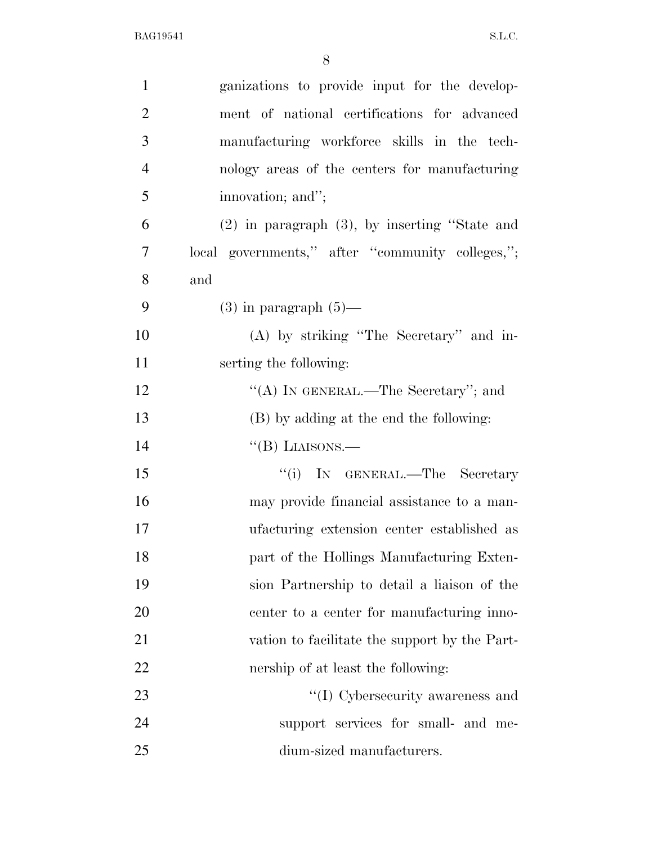| $\mathbf{1}$   | ganizations to provide input for the develop-      |
|----------------|----------------------------------------------------|
| $\overline{2}$ | ment of national certifications for advanced       |
| 3              | manufacturing workforce skills in the tech-        |
| $\overline{4}$ | nology areas of the centers for manufacturing      |
| 5              | innovation; and";                                  |
| 6              | $(2)$ in paragraph $(3)$ , by inserting "State and |
| $\overline{7}$ | local governments," after "community colleges,";   |
| 8              | and                                                |
| 9              | $(3)$ in paragraph $(5)$ —                         |
| 10             | (A) by striking "The Secretary" and in-            |
| 11             | serting the following:                             |
| 12             | "(A) IN GENERAL.—The Secretary"; and               |
| 13             | (B) by adding at the end the following:            |
| 14             | $\lq\lq(B)$ LIAISONS.—                             |
| 15             | "(i) IN GENERAL.—The Secretary                     |
| 16             | may provide financial assistance to a man-         |
| 17             | ufacturing extension center established as         |
| 18             | part of the Hollings Manufacturing Exten-          |
| 19             | sion Partnership to detail a liaison of the        |
| 20             | center to a center for manufacturing inno-         |
| 21             | vation to facilitate the support by the Part-      |
| <u>22</u>      | nership of at least the following:                 |
| 23             | "(I) Cybersecurity awareness and                   |
| 24             | support services for small- and me-                |
| 25             | dium-sized manufacturers.                          |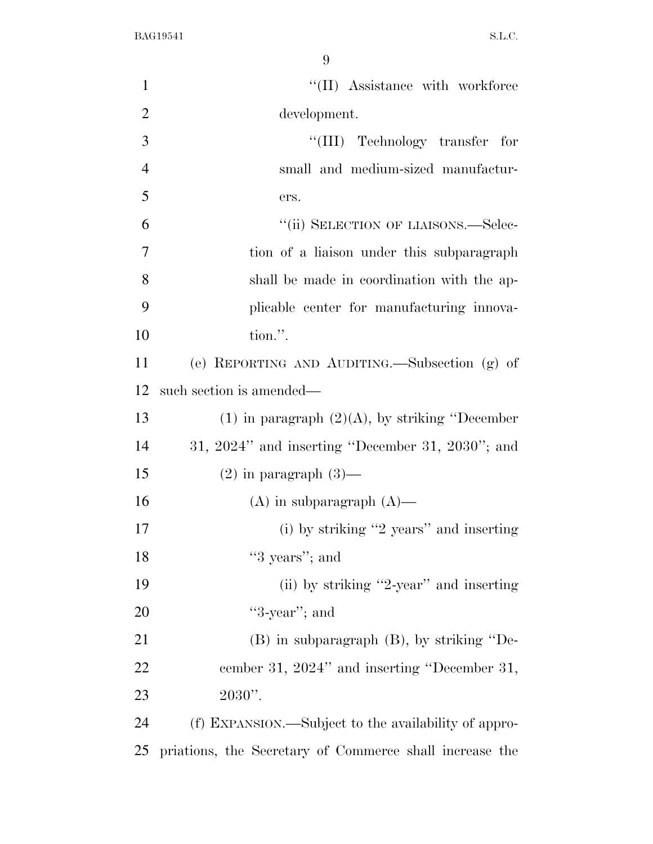| $\mathbf{1}$   | "(II) Assistance with workforce                         |
|----------------|---------------------------------------------------------|
| $\overline{2}$ | development.                                            |
| 3              | "(III) Technology transfer for                          |
| $\overline{4}$ | small and medium-sized manufactur-                      |
| 5              | ers.                                                    |
| 6              | "(ii) SELECTION OF LIAISONS.—Selec-                     |
| $\overline{7}$ | tion of a liaison under this subparagraph               |
| 8              | shall be made in coordination with the ap-              |
| 9              | plicable center for manufacturing innova-               |
| 10             | tion.".                                                 |
| 11             | (e) REPORTING AND AUDITING.—Subsection (g) of           |
| 12             | such section is amended—                                |
| 13             | (1) in paragraph $(2)(A)$ , by striking "December       |
| 14             | $31, 2024"$ and inserting "December 31, $2030"$ ; and   |
| 15             | $(2)$ in paragraph $(3)$ —                              |
| 16             | $(A)$ in subparagraph $(A)$ —                           |
| 17             | $(i)$ by striking "2 years" and inserting               |
| 18             | "3 years"; and                                          |
| 19             | (ii) by striking "2-year" and inserting                 |
| 20             | " $3$ -year"; and                                       |
| 21             | $(B)$ in subparagraph $(B)$ , by striking "De-          |
| 22             | cember 31, 2024" and inserting "December 31,            |
| 23             | $2030$ ".                                               |
| 24             | (f) EXPANSION.—Subject to the availability of appro-    |
| 25             | priations, the Secretary of Commerce shall increase the |